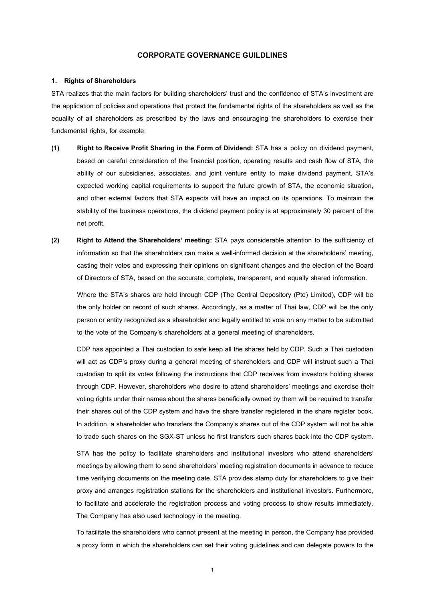# **CORPORATE GOVERNANCE GUILDLINES**

#### **1. Rights of Shareholders**

STA realizes that the main factors for building shareholders' trust and the confidence of STA's investment are the application of policies and operations that protect the fundamental rights of the shareholders as well as the equality of all shareholders as prescribed by the laws and encouraging the shareholders to exercise their fundamental rights, for example:

- **(1) Right to Receive Profit Sharing in the Form of Dividend:** STA has a policy on dividend payment, based on careful consideration of the financial position, operating results and cash flow of STA, the ability of our subsidiaries, associates, and joint venture entity to make dividend payment, STA's expected working capital requirements to support the future growth of STA, the economic situation, and other external factors that STA expects will have an impact on its operations. To maintain the stability of the business operations, the dividend payment policy is at approximately 30 percent of the net profit.
- **(2) Right to Attend the Shareholders' meeting:** STA pays considerable attention to the sufficiency of information so that the shareholders can make a well-informed decision at the shareholders' meeting, casting their votes and expressing their opinions on significant changes and the election of the Board of Directors of STA, based on the accurate, complete, transparent, and equally shared information.

Where the STA's shares are held through CDP (The Central Depository (Pte) Limited), CDP will be the only holder on record of such shares. Accordingly, as a matter of Thai law, CDP will be the only person or entity recognized as a shareholder and legally entitled to vote on any matter to be submitted to the vote of the Company's shareholders at a general meeting of shareholders.

CDP has appointed a Thai custodian to safe keep all the shares held by CDP. Such a Thai custodian will act as CDP's proxy during a general meeting of shareholders and CDP will instruct such a Thai custodian to split its votes following the instructions that CDP receives from investors holding shares through CDP. However, shareholders who desire to attend shareholders' meetings and exercise their voting rights under their names about the shares beneficially owned by them will be required to transfer their shares out of the CDP system and have the share transfer registered in the share register book. In addition, a shareholder who transfers the Company's shares out of the CDP system will not be able to trade such shares on the SGX-ST unless he first transfers such shares back into the CDP system.

STA has the policy to facilitate shareholders and institutional investors who attend shareholders' meetings by allowing them to send shareholders' meeting registration documents in advance to reduce time verifying documents on the meeting date. STA provides stamp duty for shareholders to give their proxy and arranges registration stations for the shareholders and institutional investors. Furthermore, to facilitate and accelerate the registration process and voting process to show results immediately. The Company has also used technology in the meeting.

To facilitate the shareholders who cannot present at the meeting in person, the Company has provided a proxy form in which the shareholders can set their voting guidelines and can delegate powers to the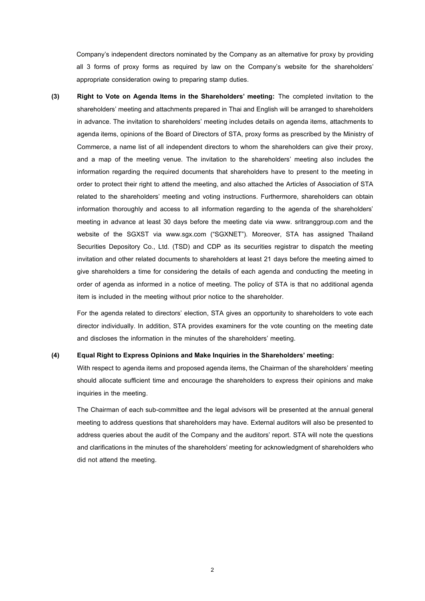Company's independent directors nominated by the Company as an alternative for proxy by providing all 3 forms of proxy forms as required by law on the Company's website for the shareholders' appropriate consideration owing to preparing stamp duties.

**(3) Right to Vote on Agenda Items in the Shareholders' meeting:** The completed invitation to the shareholders' meeting and attachments prepared in Thai and English will be arranged to shareholders in advance. The invitation to shareholders' meeting includes details on agenda items, attachments to agenda items, opinions of the Board of Directors of STA, proxy forms as prescribed by the Ministry of Commerce, a name list of all independent directors to whom the shareholders can give their proxy, and a map of the meeting venue. The invitation to the shareholders' meeting also includes the information regarding the required documents that shareholders have to present to the meeting in order to protect their right to attend the meeting, and also attached the Articles of Association of STA related to the shareholders' meeting and voting instructions. Furthermore, shareholders can obtain information thoroughly and access to all information regarding to the agenda of the shareholders' meeting in advance at least 30 days before the meeting date via www. sritranggroup.com and the website of the SGXST via www.sgx.com ("SGXNET"). Moreover, STA has assigned Thailand Securities Depository Co., Ltd. (TSD) and CDP as its securities registrar to dispatch the meeting invitation and other related documents to shareholders at least 21 days before the meeting aimed to give shareholders a time for considering the details of each agenda and conducting the meeting in order of agenda as informed in a notice of meeting. The policy of STA is that no additional agenda item is included in the meeting without prior notice to the shareholder.

For the agenda related to directors' election, STA gives an opportunity to shareholders to vote each director individually. In addition, STA provides examiners for the vote counting on the meeting date and discloses the information in the minutes of the shareholders' meeting.

## **(4) Equal Right to Express Opinions and Make Inquiries in the Shareholders' meeting:**

With respect to agenda items and proposed agenda items, the Chairman of the shareholders' meeting should allocate sufficient time and encourage the shareholders to express their opinions and make inquiries in the meeting.

The Chairman of each sub-committee and the legal advisors will be presented at the annual general meeting to address questions that shareholders may have. External auditors will also be presented to address queries about the audit of the Company and the auditors' report. STA will note the questions and clarifications in the minutes of the shareholders' meeting for acknowledgment of shareholders who did not attend the meeting.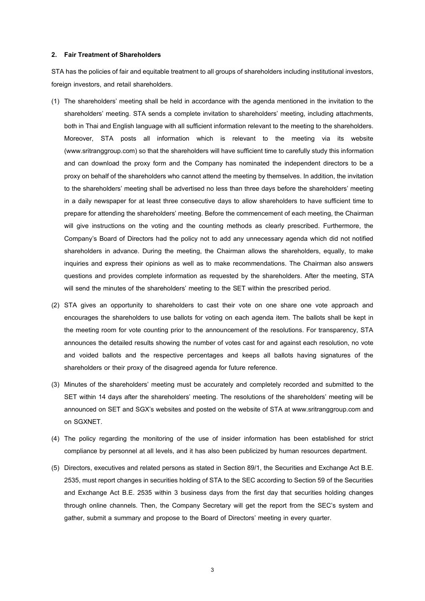### **2. Fair Treatment of Shareholders**

STA has the policies of fair and equitable treatment to all groups of shareholders including institutional investors, foreign investors, and retail shareholders.

- (1) The shareholders' meeting shall be held in accordance with the agenda mentioned in the invitation to the shareholders' meeting. STA sends a complete invitation to shareholders' meeting, including attachments, both in Thai and English language with all sufficient information relevant to the meeting to the shareholders. Moreover, STA posts all information which is relevant to the meeting via its website (www.sritranggroup.com) so that the shareholders will have sufficient time to carefully study this information and can download the proxy form and the Company has nominated the independent directors to be a proxy on behalf of the shareholders who cannot attend the meeting by themselves. In addition, the invitation to the shareholders' meeting shall be advertised no less than three days before the shareholders' meeting in a daily newspaper for at least three consecutive days to allow shareholders to have sufficient time to prepare for attending the shareholders' meeting. Before the commencement of each meeting, the Chairman will give instructions on the voting and the counting methods as clearly prescribed. Furthermore, the Company's Board of Directors had the policy not to add any unnecessary agenda which did not notified shareholders in advance. During the meeting, the Chairman allows the shareholders, equally, to make inquiries and express their opinions as well as to make recommendations. The Chairman also answers questions and provides complete information as requested by the shareholders. After the meeting, STA will send the minutes of the shareholders' meeting to the SET within the prescribed period.
- (2) STA gives an opportunity to shareholders to cast their vote on one share one vote approach and encourages the shareholders to use ballots for voting on each agenda item. The ballots shall be kept in the meeting room for vote counting prior to the announcement of the resolutions. For transparency, STA announces the detailed results showing the number of votes cast for and against each resolution, no vote and voided ballots and the respective percentages and keeps all ballots having signatures of the shareholders or their proxy of the disagreed agenda for future reference.
- (3) Minutes of the shareholders' meeting must be accurately and completely recorded and submitted to the SET within 14 days after the shareholders' meeting. The resolutions of the shareholders' meeting will be announced on SET and SGX's websites and posted on the website of STA at www.sritranggroup.com and on SGXNET.
- (4) The policy regarding the monitoring of the use of insider information has been established for strict compliance by personnel at all levels, and it has also been publicized by human resources department.
- (5) Directors, executives and related persons as stated in Section 89/1, the Securities and Exchange Act B.E. 2535, must report changes in securities holding of STA to the SEC according to Section 59 of the Securities and Exchange Act B.E. 2535 within 3 business days from the first day that securities holding changes through online channels. Then, the Company Secretary will get the report from the SEC's system and gather, submit a summary and propose to the Board of Directors' meeting in every quarter.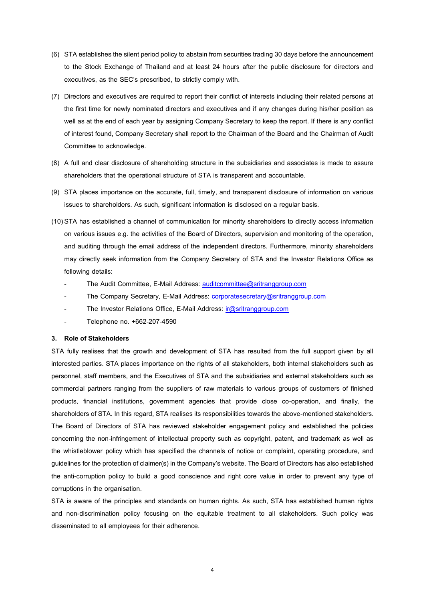- (6) STA establishes the silent period policy to abstain from securities trading 30 days before the announcement to the Stock Exchange of Thailand and at least 24 hours after the public disclosure for directors and executives, as the SEC's prescribed, to strictly comply with.
- (7) Directors and executives are required to report their conflict of interests including their related persons at the first time for newly nominated directors and executives and if any changes during his/her position as well as at the end of each year by assigning Company Secretary to keep the report. If there is any conflict of interest found, Company Secretary shall report to the Chairman of the Board and the Chairman of Audit Committee to acknowledge.
- (8) A full and clear disclosure of shareholding structure in the subsidiaries and associates is made to assure shareholders that the operational structure of STA is transparent and accountable.
- (9) STA places importance on the accurate, full, timely, and transparent disclosure of information on various issues to shareholders. As such, significant information is disclosed on a regular basis.
- (10) STA has established a channel of communication for minority shareholders to directly access information on various issues e.g. the activities of the Board of Directors, supervision and monitoring of the operation, and auditing through the email address of the independent directors. Furthermore, minority shareholders may directly seek information from the Company Secretary of STA and the Investor Relations Office as following details:
	- The Audit Committee, E-Mail Address[: auditcommittee@sritranggroup.com](mailto:auditcommittee@sritranggroup.com)
	- The Company Secretary, E-Mail Address[: corporatesecretary@sritranggroup.com](mailto:corporatesecretary@sritranggroup.com)
	- The Investor Relations Office, E-Mail Address: [ir@sritranggroup.com](mailto:ir@sritranggroup.com)
	- Telephone no. +662-207-4590

### **3. Role of Stakeholders**

STA fully realises that the growth and development of STA has resulted from the full support given by all interested parties. STA places importance on the rights of all stakeholders, both internal stakeholders such as personnel, staff members, and the Executives of STA and the subsidiaries and external stakeholders such as commercial partners ranging from the suppliers of raw materials to various groups of customers of finished products, financial institutions, government agencies that provide close co-operation, and finally, the shareholders of STA. In this regard, STA realises its responsibilities towards the above-mentioned stakeholders. The Board of Directors of STA has reviewed stakeholder engagement policy and established the policies concerning the non-infringement of intellectual property such as copyright, patent, and trademark as well as the whistleblower policy which has specified the channels of notice or complaint, operating procedure, and guidelines for the protection of claimer(s) in the Company's website. The Board of Directors has also established the anti-corruption policy to build a good conscience and right core value in order to prevent any type of corruptions in the organisation.

STA is aware of the principles and standards on human rights. As such, STA has established human rights and non-discrimination policy focusing on the equitable treatment to all stakeholders. Such policy was disseminated to all employees for their adherence.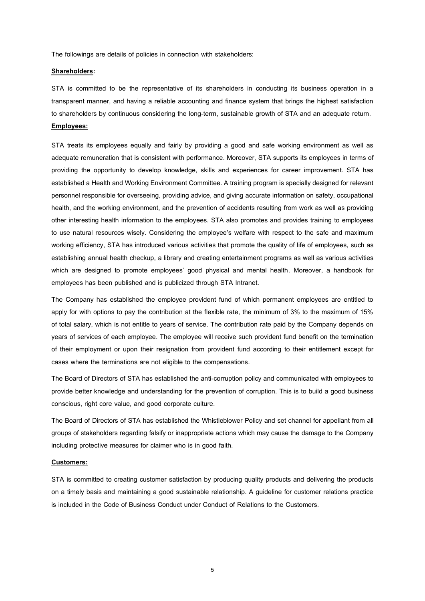The followings are details of policies in connection with stakeholders:

#### **Shareholders:**

STA is committed to be the representative of its shareholders in conducting its business operation in a transparent manner, and having a reliable accounting and finance system that brings the highest satisfaction to shareholders by continuous considering the long-term, sustainable growth of STA and an adequate return. **Employees:**

STA treats its employees equally and fairly by providing a good and safe working environment as well as adequate remuneration that is consistent with performance. Moreover, STA supports its employees in terms of providing the opportunity to develop knowledge, skills and experiences for career improvement. STA has established a Health and Working Environment Committee. A training program is specially designed for relevant personnel responsible for overseeing, providing advice, and giving accurate information on safety, occupational health, and the working environment, and the prevention of accidents resulting from work as well as providing other interesting health information to the employees. STA also promotes and provides training to employees to use natural resources wisely. Considering the employee's welfare with respect to the safe and maximum working efficiency, STA has introduced various activities that promote the quality of life of employees, such as establishing annual health checkup, a library and creating entertainment programs as well as various activities which are designed to promote employees' good physical and mental health. Moreover, a handbook for employees has been published and is publicized through STA Intranet.

The Company has established the employee provident fund of which permanent employees are entitled to apply for with options to pay the contribution at the flexible rate, the minimum of 3% to the maximum of 15% of total salary, which is not entitle to years of service. The contribution rate paid by the Company depends on years of services of each employee. The employee will receive such provident fund benefit on the termination of their employment or upon their resignation from provident fund according to their entitlement except for cases where the terminations are not eligible to the compensations.

The Board of Directors of STA has established the anti-corruption policy and communicated with employees to provide better knowledge and understanding for the prevention of corruption. This is to build a good business conscious, right core value, and good corporate culture.

The Board of Directors of STA has established the Whistleblower Policy and set channel for appellant from all groups of stakeholders regarding falsify or inappropriate actions which may cause the damage to the Company including protective measures for claimer who is in good faith.

#### **Customers:**

STA is committed to creating customer satisfaction by producing quality products and delivering the products on a timely basis and maintaining a good sustainable relationship. A guideline for customer relations practice is included in the Code of Business Conduct under Conduct of Relations to the Customers.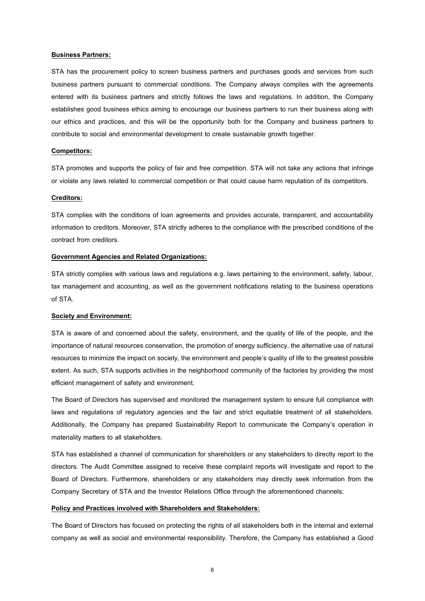#### **Business Partners:**

STA has the procurement policy to screen business partners and purchases goods and services from such business partners pursuant to commercial conditions. The Company always complies with the agreements entered with its business partners and strictly follows the laws and regulations. In addition, the Company establishes good business ethics aiming to encourage our business partners to run their business along with our ethics and practices, and this will be the opportunity both for the Company and business partners to contribute to social and environmental development to create sustainable growth together.

#### **Competitors:**

STA promotes and supports the policy of fair and free competition. STA will not take any actions that infringe or violate any laws related to commercial competition or that could cause harm reputation of its competitors.

## **Creditors:**

STA complies with the conditions of loan agreements and provides accurate, transparent, and accountability information to creditors. Moreover, STA strictly adheres to the compliance with the prescribed conditions of the contract from creditors.

### **Government Agencies and Related Organizations:**

STA strictly complies with various laws and regulations e.g. laws pertaining to the environment, safety, labour, tax management and accounting, as well as the government notifications relating to the business operations of STA.

#### **Society and Environment:**

STA is aware of and concerned about the safety, environment, and the quality of life of the people, and the importance of natural resources conservation, the promotion of energy sufficiency, the alternative use of natural resources to minimize the impact on society, the environment and people's quality of life to the greatest possible extent. As such, STA supports activities in the neighborhood community of the factories by providing the most efficient management of safety and environment.

The Board of Directors has supervised and monitored the management system to ensure full compliance with laws and regulations of regulatory agencies and the fair and strict equitable treatment of all stakeholders. Additionally, the Company has prepared Sustainability Report to communicate the Company's operation in materiality matters to all stakeholders.

STA has established a channel of communication for shareholders or any stakeholders to directly report to the directors. The Audit Committee assigned to receive these complaint reports will investigate and report to the Board of Directors. Furthermore, shareholders or any stakeholders may directly seek information from the Company Secretary of STA and the Investor Relations Office through the aforementioned channels:

#### **Policy and Practices involved with Shareholders and Stakeholders:**

The Board of Directors has focused on protecting the rights of all stakeholders both in the internal and external company as well as social and environmental responsibility. Therefore, the Company has established a Good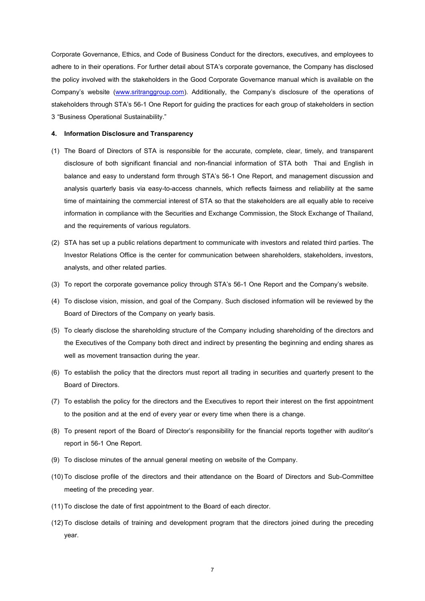Corporate Governance, Ethics, and Code of Business Conduct for the directors, executives, and employees to adhere to in their operations. For further detail about STA's corporate governance, the Company has disclosed the policy involved with the stakeholders in the Good Corporate Governance manual which is available on the Company's website ([www.sritranggroup.com](http://www.sritranggroup.com/)). Additionally, the Company's disclosure of the operations of stakeholders through STA's 56-1 One Report for guiding the practices for each group of stakeholders in section 3 "Business Operational Sustainability."

#### **4. Information Disclosure and Transparency**

- (1) The Board of Directors of STA is responsible for the accurate, complete, clear, timely, and transparent disclosure of both significant financial and non-financial information of STA both Thai and English in balance and easy to understand form through STA's 56-1 One Report, and management discussion and analysis quarterly basis via easy-to-access channels, which reflects fairness and reliability at the same time of maintaining the commercial interest of STA so that the stakeholders are all equally able to receive information in compliance with the Securities and Exchange Commission, the Stock Exchange of Thailand, and the requirements of various regulators.
- (2) STA has set up a public relations department to communicate with investors and related third parties. The Investor Relations Office is the center for communication between shareholders, stakeholders, investors, analysts, and other related parties.
- (3) To report the corporate governance policy through STA's 56-1 One Report and the Company's website.
- (4) To disclose vision, mission, and goal of the Company. Such disclosed information will be reviewed by the Board of Directors of the Company on yearly basis.
- (5) To clearly disclose the shareholding structure of the Company including shareholding of the directors and the Executives of the Company both direct and indirect by presenting the beginning and ending shares as well as movement transaction during the year.
- (6) To establish the policy that the directors must report all trading in securities and quarterly present to the Board of Directors.
- (7) To establish the policy for the directors and the Executives to report their interest on the first appointment to the position and at the end of every year or every time when there is a change.
- (8) To present report of the Board of Director's responsibility for the financial reports together with auditor's report in 56-1 One Report.
- (9) To disclose minutes of the annual general meeting on website of the Company.
- (10)To disclose profile of the directors and their attendance on the Board of Directors and Sub-Committee meeting of the preceding year.
- (11)To disclose the date of first appointment to the Board of each director.
- (12)To disclose details of training and development program that the directors joined during the preceding year.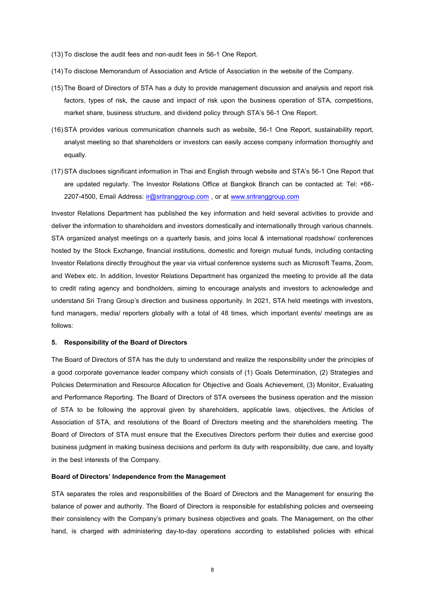- (13)To disclose the audit fees and non-audit fees in 56-1 One Report.
- (14)To disclose Memorandum of Association and Article of Association in the website of the Company.
- (15)The Board of Directors of STA has a duty to provide management discussion and analysis and report risk factors, types of risk, the cause and impact of risk upon the business operation of STA, competitions, market share, business structure, and dividend policy through STA's 56-1 One Report.
- (16) STA provides various communication channels such as website, 56-1 One Report, sustainability report, analyst meeting so that shareholders or investors can easily access company information thoroughly and equally.
- (17) STA discloses significant information in Thai and English through website and STA's 56-1 One Report that are updated regularly. The Investor Relations Office at Bangkok Branch can be contacted at: Tel: +66- 2207-4500, Email Address: [ir@sritranggroup.com](mailto:ir@sritranggroup.com) , or at [www.sritranggroup.com](http://www.sritranggroup.com/)

Investor Relations Department has published the key information and held several activities to provide and deliver the information to shareholders and investors domestically and internationally through various channels. STA organized analyst meetings on a quarterly basis, and joins local & international roadshow/ conferences hosted by the Stock Exchange, financial institutions, domestic and foreign mutual funds, including contacting Investor Relations directly throughout the year via virtual conference systems such as Microsoft Teams, Zoom, and Webex etc. In addition, Investor Relations Department has organized the meeting to provide all the data to credit rating agency and bondholders, aiming to encourage analysts and investors to acknowledge and understand Sri Trang Group's direction and business opportunity. In 2021, STA held meetings with investors, fund managers, media/ reporters globally with a total of 48 times, which important events/ meetings are as follows:

#### **5. Responsibility of the Board of Directors**

The Board of Directors of STA has the duty to understand and realize the responsibility under the principles of a good corporate governance leader company which consists of (1) Goals Determination, (2) Strategies and Policies Determination and Resource Allocation for Objective and Goals Achievement, (3) Monitor, Evaluating and Performance Reporting. The Board of Directors of STA oversees the business operation and the mission of STA to be following the approval given by shareholders, applicable laws, objectives, the Articles of Association of STA, and resolutions of the Board of Directors meeting and the shareholders meeting. The Board of Directors of STA must ensure that the Executives Directors perform their duties and exercise good business judgment in making business decisions and perform its duty with responsibility, due care, and loyalty in the best interests of the Company.

# **Board of Directors' Independence from the Management**

STA separates the roles and responsibilities of the Board of Directors and the Management for ensuring the balance of power and authority. The Board of Directors is responsible for establishing policies and overseeing their consistency with the Company's primary business objectives and goals. The Management, on the other hand, is charged with administering day-to-day operations according to established policies with ethical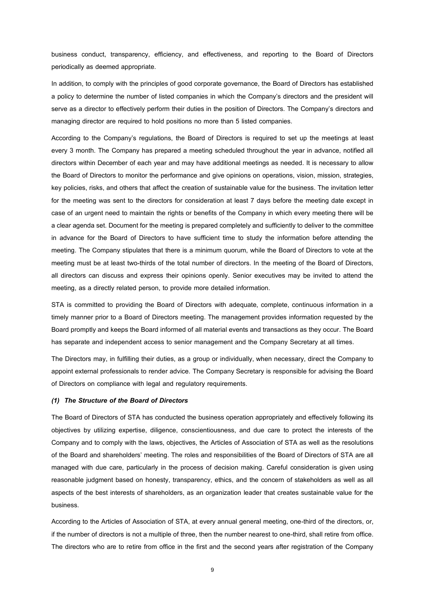business conduct, transparency, efficiency, and effectiveness, and reporting to the Board of Directors periodically as deemed appropriate.

In addition, to comply with the principles of good corporate governance, the Board of Directors has established a policy to determine the number of listed companies in which the Company's directors and the president will serve as a director to effectively perform their duties in the position of Directors. The Company's directors and managing director are required to hold positions no more than 5 listed companies.

According to the Company's regulations, the Board of Directors is required to set up the meetings at least every 3 month. The Company has prepared a meeting scheduled throughout the year in advance, notified all directors within December of each year and may have additional meetings as needed. It is necessary to allow the Board of Directors to monitor the performance and give opinions on operations, vision, mission, strategies, key policies, risks, and others that affect the creation of sustainable value for the business. The invitation letter for the meeting was sent to the directors for consideration at least 7 days before the meeting date except in case of an urgent need to maintain the rights or benefits of the Company in which every meeting there will be a clear agenda set. Document for the meeting is prepared completely and sufficiently to deliver to the committee in advance for the Board of Directors to have sufficient time to study the information before attending the meeting. The Company stipulates that there is a minimum quorum, while the Board of Directors to vote at the meeting must be at least two-thirds of the total number of directors. In the meeting of the Board of Directors, all directors can discuss and express their opinions openly. Senior executives may be invited to attend the meeting, as a directly related person, to provide more detailed information.

STA is committed to providing the Board of Directors with adequate, complete, continuous information in a timely manner prior to a Board of Directors meeting. The management provides information requested by the Board promptly and keeps the Board informed of all material events and transactions as they occur. The Board has separate and independent access to senior management and the Company Secretary at all times.

The Directors may, in fulfilling their duties, as a group or individually, when necessary, direct the Company to appoint external professionals to render advice. The Company Secretary is responsible for advising the Board of Directors on compliance with legal and regulatory requirements.

#### *(1) The Structure of the Board of Directors*

The Board of Directors of STA has conducted the business operation appropriately and effectively following its objectives by utilizing expertise, diligence, conscientiousness, and due care to protect the interests of the Company and to comply with the laws, objectives, the Articles of Association of STA as well as the resolutions of the Board and shareholders' meeting. The roles and responsibilities of the Board of Directors of STA are all managed with due care, particularly in the process of decision making. Careful consideration is given using reasonable judgment based on honesty, transparency, ethics, and the concern of stakeholders as well as all aspects of the best interests of shareholders, as an organization leader that creates sustainable value for the business.

According to the Articles of Association of STA, at every annual general meeting, one-third of the directors, or, if the number of directors is not a multiple of three, then the number nearest to one-third, shall retire from office. The directors who are to retire from office in the first and the second years after registration of the Company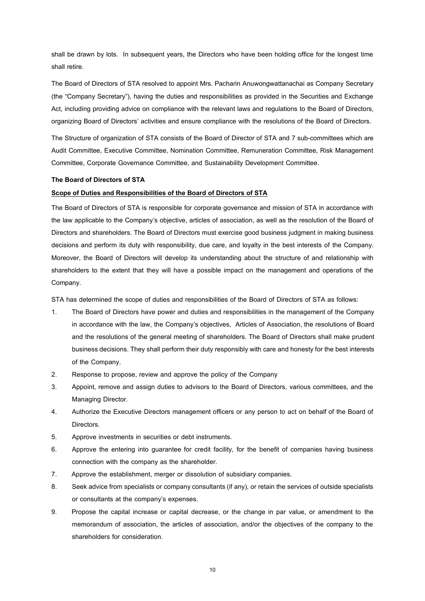shall be drawn by lots. In subsequent years, the Directors who have been holding office for the longest time shall retire.

The Board of Directors of STA resolved to appoint Mrs. Pacharin Anuwongwattanachai as Company Secretary (the "Company Secretary"), having the duties and responsibilities as provided in the Securities and Exchange Act, including providing advice on compliance with the relevant laws and regulations to the Board of Directors, organizing Board of Directors' activities and ensure compliance with the resolutions of the Board of Directors.

The Structure of organization of STA consists of the Board of Director of STA and 7 sub-committees which are Audit Committee, Executive Committee, Nomination Committee, Remuneration Committee, Risk Management Committee, Corporate Governance Committee, and Sustainability Development Committee.

## **The Board of Directors of STA**

# **Scope of Duties and Responsibilities of the Board of Directors of STA**

The Board of Directors of STA is responsible for corporate governance and mission of STA in accordance with the law applicable to the Company's objective, articles of association, as well as the resolution of the Board of Directors and shareholders. The Board of Directors must exercise good business judgment in making business decisions and perform its duty with responsibility, due care, and loyalty in the best interests of the Company. Moreover, the Board of Directors will develop its understanding about the structure of and relationship with shareholders to the extent that they will have a possible impact on the management and operations of the Company.

STA has determined the scope of duties and responsibilities of the Board of Directors of STA as follows:

- 1. The Board of Directors have power and duties and responsibilities in the management of the Company in accordance with the law, the Company's objectives, Articles of Association, the resolutions of Board and the resolutions of the general meeting of shareholders. The Board of Directors shall make prudent business decisions. They shall perform their duty responsibly with care and honesty for the best interests of the Company.
- 2. Response to propose, review and approve the policy of the Company
- 3. Appoint, remove and assign duties to advisors to the Board of Directors, various committees, and the Managing Director.
- 4. Authorize the Executive Directors management officers or any person to act on behalf of the Board of Directors.
- 5. Approve investments in securities or debt instruments.
- 6. Approve the entering into guarantee for credit facility, for the benefit of companies having business connection with the company as the shareholder.
- 7. Approve the establishment, merger or dissolution of subsidiary companies.
- 8. Seek advice from specialists or company consultants (if any), or retain the services of outside specialists or consultants at the company's expenses.
- 9. Propose the capital increase or capital decrease, or the change in par value, or amendment to the memorandum of association, the articles of association, and/or the objectives of the company to the shareholders for consideration.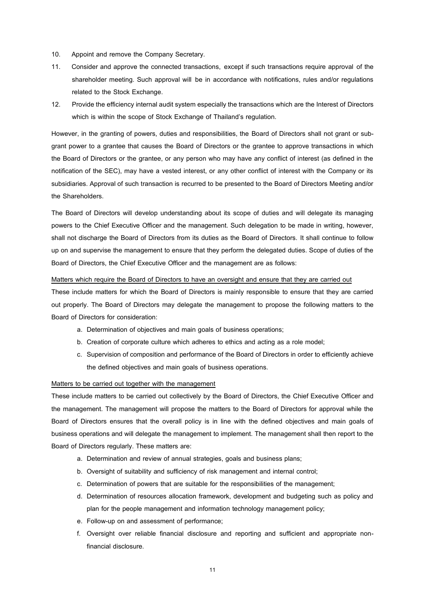- 10. Appoint and remove the Company Secretary.
- 11. Consider and approve the connected transactions, except if such transactions require approval of the shareholder meeting. Such approval will be in accordance with notifications, rules and/or regulations related to the Stock Exchange.
- 12. Provide the efficiency internal audit system especially the transactions which are the Interest of Directors which is within the scope of Stock Exchange of Thailand's regulation.

However, in the granting of powers, duties and responsibilities, the Board of Directors shall not grant or subgrant power to a grantee that causes the Board of Directors or the grantee to approve transactions in which the Board of Directors or the grantee, or any person who may have any conflict of interest (as defined in the notification of the SEC), may have a vested interest, or any other conflict of interest with the Company or its subsidiaries. Approval of such transaction is recurred to be presented to the Board of Directors Meeting and/or the Shareholders.

The Board of Directors will develop understanding about its scope of duties and will delegate its managing powers to the Chief Executive Officer and the management. Such delegation to be made in writing, however, shall not discharge the Board of Directors from its duties as the Board of Directors. It shall continue to follow up on and supervise the management to ensure that they perform the delegated duties. Scope of duties of the Board of Directors, the Chief Executive Officer and the management are as follows:

#### Matters which require the Board of Directors to have an oversight and ensure that they are carried out

These include matters for which the Board of Directors is mainly responsible to ensure that they are carried out properly. The Board of Directors may delegate the management to propose the following matters to the Board of Directors for consideration:

- a. Determination of objectives and main goals of business operations;
- b. Creation of corporate culture which adheres to ethics and acting as a role model;
- c. Supervision of composition and performance of the Board of Directors in order to efficiently achieve the defined objectives and main goals of business operations.

#### Matters to be carried out together with the management

These include matters to be carried out collectively by the Board of Directors, the Chief Executive Officer and the management. The management will propose the matters to the Board of Directors for approval while the Board of Directors ensures that the overall policy is in line with the defined objectives and main goals of business operations and will delegate the management to implement. The management shall then report to the Board of Directors regularly. These matters are:

- a. Determination and review of annual strategies, goals and business plans;
- b. Oversight of suitability and sufficiency of risk management and internal control;
- c. Determination of powers that are suitable for the responsibilities of the management;
- d. Determination of resources allocation framework, development and budgeting such as policy and plan for the people management and information technology management policy;
- e. Follow-up on and assessment of performance;
- f. Oversight over reliable financial disclosure and reporting and sufficient and appropriate nonfinancial disclosure.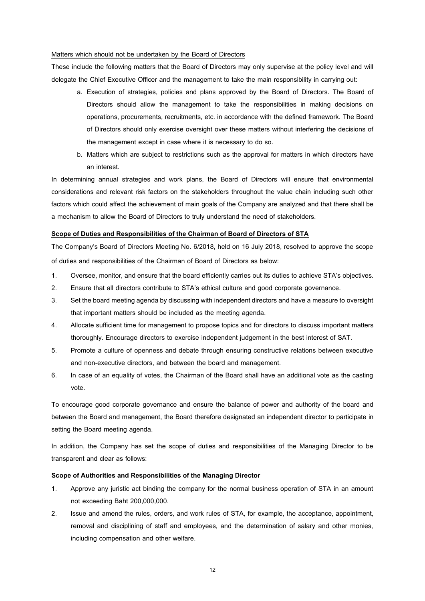### Matters which should not be undertaken by the Board of Directors

These include the following matters that the Board of Directors may only supervise at the policy level and will delegate the Chief Executive Officer and the management to take the main responsibility in carrying out:

- a. Execution of strategies, policies and plans approved by the Board of Directors. The Board of Directors should allow the management to take the responsibilities in making decisions on operations, procurements, recruitments, etc. in accordance with the defined framework. The Board of Directors should only exercise oversight over these matters without interfering the decisions of the management except in case where it is necessary to do so.
- b. Matters which are subject to restrictions such as the approval for matters in which directors have an interest.

In determining annual strategies and work plans, the Board of Directors will ensure that environmental considerations and relevant risk factors on the stakeholders throughout the value chain including such other factors which could affect the achievement of main goals of the Company are analyzed and that there shall be a mechanism to allow the Board of Directors to truly understand the need of stakeholders.

#### **Scope of Duties and Responsibilities of the Chairman of Board of Directors of STA**

The Company's Board of Directors Meeting No. 6/2018, held on 16 July 2018, resolved to approve the scope of duties and responsibilities of the Chairman of Board of Directors as below:

- 1. Oversee, monitor, and ensure that the board efficiently carries out its duties to achieve STA's objectives.
- 2. Ensure that all directors contribute to STA's ethical culture and good corporate governance.
- 3. Set the board meeting agenda by discussing with independent directors and have a measure to oversight that important matters should be included as the meeting agenda.
- 4. Allocate sufficient time for management to propose topics and for directors to discuss important matters thoroughly. Encourage directors to exercise independent judgement in the best interest of SAT.
- 5. Promote a culture of openness and debate through ensuring constructive relations between executive and non-executive directors, and between the board and management.
- 6. In case of an equality of votes, the Chairman of the Board shall have an additional vote as the casting vote.

To encourage good corporate governance and ensure the balance of power and authority of the board and between the Board and management, the Board therefore designated an independent director to participate in setting the Board meeting agenda.

In addition, the Company has set the scope of duties and responsibilities of the Managing Director to be transparent and clear as follows:

## **Scope of Authorities and Responsibilities of the Managing Director**

- 1. Approve any juristic act binding the company for the normal business operation of STA in an amount not exceeding Baht 200,000,000.
- 2. Issue and amend the rules, orders, and work rules of STA, for example, the acceptance, appointment, removal and disciplining of staff and employees, and the determination of salary and other monies, including compensation and other welfare.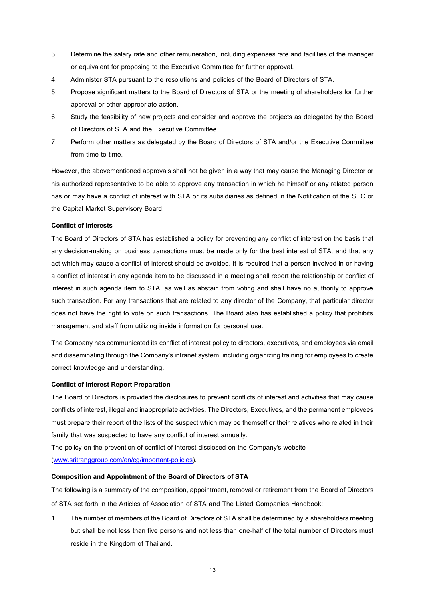- 3. Determine the salary rate and other remuneration, including expenses rate and facilities of the manager or equivalent for proposing to the Executive Committee for further approval.
- 4. Administer STA pursuant to the resolutions and policies of the Board of Directors of STA.
- 5. Propose significant matters to the Board of Directors of STA or the meeting of shareholders for further approval or other appropriate action.
- 6. Study the feasibility of new projects and consider and approve the projects as delegated by the Board of Directors of STA and the Executive Committee.
- 7. Perform other matters as delegated by the Board of Directors of STA and/or the Executive Committee from time to time.

However, the abovementioned approvals shall not be given in a way that may cause the Managing Director or his authorized representative to be able to approve any transaction in which he himself or any related person has or may have a conflict of interest with STA or its subsidiaries as defined in the Notification of the SEC or the Capital Market Supervisory Board.

# **Conflict of Interests**

The Board of Directors of STA has established a policy for preventing any conflict of interest on the basis that any decision-making on business transactions must be made only for the best interest of STA, and that any act which may cause a conflict of interest should be avoided. It is required that a person involved in or having a conflict of interest in any agenda item to be discussed in a meeting shall report the relationship or conflict of interest in such agenda item to STA, as well as abstain from voting and shall have no authority to approve such transaction. For any transactions that are related to any director of the Company, that particular director does not have the right to vote on such transactions. The Board also has established a policy that prohibits management and staff from utilizing inside information for personal use.

The Company has communicated its conflict of interest policy to directors, executives, and employees via email and disseminating through the Company's intranet system, including organizing training for employees to create correct knowledge and understanding.

# **Conflict of Interest Report Preparation**

The Board of Directors is provided the disclosures to prevent conflicts of interest and activities that may cause conflicts of interest, illegal and inappropriate activities. The Directors, Executives, and the permanent employees must prepare their report of the lists of the suspect which may be themself or their relatives who related in their family that was suspected to have any conflict of interest annually.

The policy on the prevention of conflict of interest disclosed on the Company's website [\(www.sritranggroup.com/en/cg/important-policies\)](http://www.sritranggroup.com/en/cg/important-policies).

# **Composition and Appointment of the Board of Directors of STA**

The following is a summary of the composition, appointment, removal or retirement from the Board of Directors of STA set forth in the Articles of Association of STA and The Listed Companies Handbook:

1. The number of members of the Board of Directors of STA shall be determined by a shareholders meeting but shall be not less than five persons and not less than one-half of the total number of Directors must reside in the Kingdom of Thailand.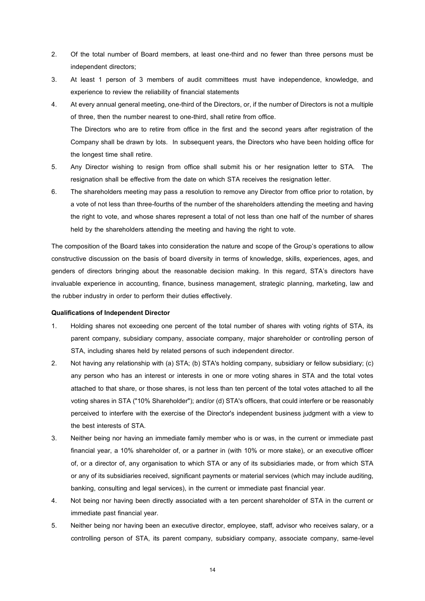- 2. Of the total number of Board members, at least one-third and no fewer than three persons must be independent directors;
- 3. At least 1 person of 3 members of audit committees must have independence, knowledge, and experience to review the reliability of financial statements
- 4. At every annual general meeting, one-third of the Directors, or, if the number of Directors is not a multiple of three, then the number nearest to one-third, shall retire from office. The Directors who are to retire from office in the first and the second years after registration of the Company shall be drawn by lots. In subsequent years, the Directors who have been holding office for the longest time shall retire.
- 5. Any Director wishing to resign from office shall submit his or her resignation letter to STA. The resignation shall be effective from the date on which STA receives the resignation letter.
- 6. The shareholders meeting may pass a resolution to remove any Director from office prior to rotation, by a vote of not less than three-fourths of the number of the shareholders attending the meeting and having the right to vote, and whose shares represent a total of not less than one half of the number of shares held by the shareholders attending the meeting and having the right to vote.

The composition of the Board takes into consideration the nature and scope of the Group's operations to allow constructive discussion on the basis of board diversity in terms of knowledge, skills, experiences, ages, and genders of directors bringing about the reasonable decision making. In this regard, STA's directors have invaluable experience in accounting, finance, business management, strategic planning, marketing, law and the rubber industry in order to perform their duties effectively.

#### **Qualifications of Independent Director**

- 1. Holding shares not exceeding one percent of the total number of shares with voting rights of STA, its parent company, subsidiary company, associate company, major shareholder or controlling person of STA, including shares held by related persons of such independent director.
- 2. Not having any relationship with (a) STA; (b) STA's holding company, subsidiary or fellow subsidiary; (c) any person who has an interest or interests in one or more voting shares in STA and the total votes attached to that share, or those shares, is not less than ten percent of the total votes attached to all the voting shares in STA ("10% Shareholder"); and/or (d) STA's officers, that could interfere or be reasonably perceived to interfere with the exercise of the Director's independent business judgment with a view to the best interests of STA.
- 3. Neither being nor having an immediate family member who is or was, in the current or immediate past financial year, a 10% shareholder of, or a partner in (with 10% or more stake), or an executive officer of, or a director of, any organisation to which STA or any of its subsidiaries made, or from which STA or any of its subsidiaries received, significant payments or material services (which may include auditing, banking, consulting and legal services), in the current or immediate past financial year.
- 4. Not being nor having been directly associated with a ten percent shareholder of STA in the current or immediate past financial year.
- 5. Neither being nor having been an executive director, employee, staff, advisor who receives salary, or a controlling person of STA, its parent company, subsidiary company, associate company, same-level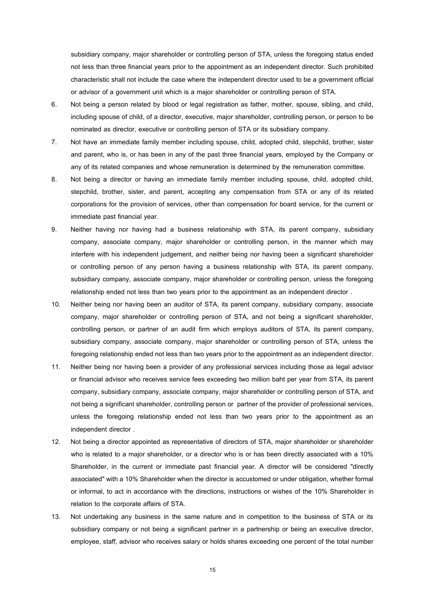subsidiary company, major shareholder or controlling person of STA, unless the foregoing status ended not less than three financial years prior to the appointment as an independent director. Such prohibited characteristic shall not include the case where the independent director used to be a government official or advisor of a government unit which is a major shareholder or controlling person of STA.

- 6. Not being a person related by blood or legal registration as father, mother, spouse, sibling, and child, including spouse of child, of a director, executive, major shareholder, controlling person, or person to be nominated as director, executive or controlling person of STA or its subsidiary company.
- 7. Not have an immediate family member including spouse, child, adopted child, stepchild, brother, sister and parent, who is, or has been in any of the past three financial years, employed by the Company or any of its related companies and whose remuneration is determined by the remuneration committee.
- 8. Not being a director or having an immediate family member including spouse, child, adopted child, stepchild, brother, sister, and parent, accepting any compensation from STA or any of its related corporations for the provision of services, other than compensation for board service, for the current or immediate past financial year.
- 9. Neither having nor having had a business relationship with STA, its parent company, subsidiary company, associate company, major shareholder or controlling person, in the manner which may interfere with his independent judgement, and neither being nor having been a significant shareholder or controlling person of any person having a business relationship with STA, its parent company, subsidiary company, associate company, major shareholder or controlling person, unless the foregoing relationship ended not less than two years prior to the appointment as an independent director .
- 10. Neither being nor having been an auditor of STA, its parent company, subsidiary company, associate company, major shareholder or controlling person of STA, and not being a significant shareholder, controlling person, or partner of an audit firm which employs auditors of STA, its parent company, subsidiary company, associate company, major shareholder or controlling person of STA, unless the foregoing relationship ended not less than two years prior to the appointment as an independent director.
- 11. Neither being nor having been a provider of any professional services including those as legal advisor or financial advisor who receives service fees exceeding two million baht per year from STA, its parent company, subsidiary company, associate company, major shareholder or controlling person of STA, and not being a significant shareholder, controlling person or partner of the provider of professional services, unless the foregoing relationship ended not less than two years prior to the appointment as an independent director .
- 12. Not being a director appointed as representative of directors of STA, major shareholder or shareholder who is related to a major shareholder, or a director who is or has been directly associated with a 10% Shareholder, in the current or immediate past financial year. A director will be considered "directly associated" with a 10% Shareholder when the director is accustomed or under obligation, whether formal or informal, to act in accordance with the directions, instructions or wishes of the 10% Shareholder in relation to the corporate affairs of STA.
- 13. Not undertaking any business in the same nature and in competition to the business of STA or its subsidiary company or not being a significant partner in a partnership or being an executive director, employee, staff, advisor who receives salary or holds shares exceeding one percent of the total number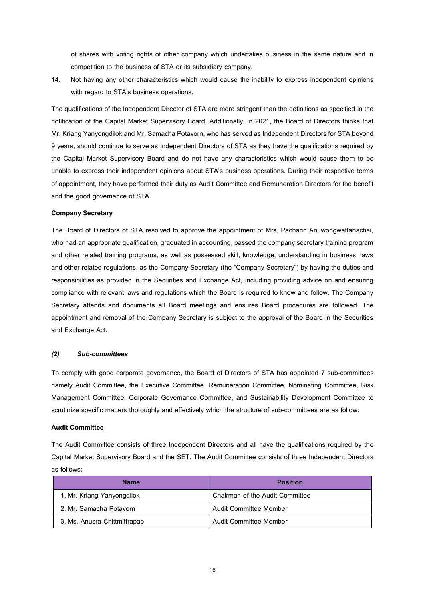of shares with voting rights of other company which undertakes business in the same nature and in competition to the business of STA or its subsidiary company.

14. Not having any other characteristics which would cause the inability to express independent opinions with regard to STA's business operations.

The qualifications of the Independent Director of STA are more stringent than the definitions as specified in the notification of the Capital Market Supervisory Board. Additionally, in 2021, the Board of Directors thinks that Mr. Kriang Yanyongdilok and Mr. Samacha Potavorn, who has served as Independent Directors for STA beyond 9 years, should continue to serve as Independent Directors of STA as they have the qualifications required by the Capital Market Supervisory Board and do not have any characteristics which would cause them to be unable to express their independent opinions about STA's business operations. During their respective terms of appointment, they have performed their duty as Audit Committee and Remuneration Directors for the benefit and the good governance of STA.

# **Company Secretary**

The Board of Directors of STA resolved to approve the appointment of Mrs. Pacharin Anuwongwattanachai, who had an appropriate qualification, graduated in accounting, passed the company secretary training program and other related training programs, as well as possessed skill, knowledge, understanding in business, laws and other related regulations, as the Company Secretary (the "Company Secretary") by having the duties and responsibilities as provided in the Securities and Exchange Act, including providing advice on and ensuring compliance with relevant laws and regulations which the Board is required to know and follow. The Company Secretary attends and documents all Board meetings and ensures Board procedures are followed. The appointment and removal of the Company Secretary is subject to the approval of the Board in the Securities and Exchange Act.

## *(2) Sub-committees*

To comply with good corporate governance, the Board of Directors of STA has appointed 7 sub-committees namely Audit Committee, the Executive Committee, Remuneration Committee, Nominating Committee, Risk Management Committee, Corporate Governance Committee, and Sustainability Development Committee to scrutinize specific matters thoroughly and effectively which the structure of sub-committees are as follow:

## **Audit Committee**

The Audit Committee consists of three Independent Directors and all have the qualifications required by the Capital Market Supervisory Board and the SET. The Audit Committee consists of three Independent Directors as follows:

| <b>Name</b>                  | <b>Position</b>                 |
|------------------------------|---------------------------------|
| 1. Mr. Kriang Yanyongdilok   | Chairman of the Audit Committee |
| 2. Mr. Samacha Potavorn      | Audit Committee Member          |
| 3. Ms. Anusra Chittmittrapap | Audit Committee Member          |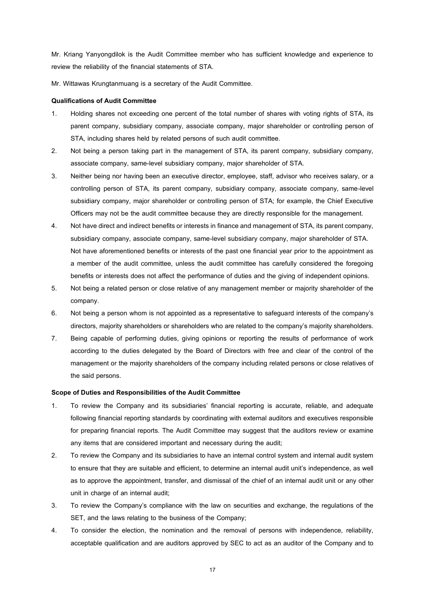Mr. Kriang Yanyongdilok is the Audit Committee member who has sufficient knowledge and experience to review the reliability of the financial statements of STA.

Mr. Wittawas Krungtanmuang is a secretary of the Audit Committee.

# **Qualifications of Audit Committee**

- 1. Holding shares not exceeding one percent of the total number of shares with voting rights of STA, its parent company, subsidiary company, associate company, major shareholder or controlling person of STA, including shares held by related persons of such audit committee.
- 2. Not being a person taking part in the management of STA, its parent company, subsidiary company, associate company, same-level subsidiary company, major shareholder of STA.
- 3. Neither being nor having been an executive director, employee, staff, advisor who receives salary, or a controlling person of STA, its parent company, subsidiary company, associate company, same-level subsidiary company, major shareholder or controlling person of STA; for example, the Chief Executive Officers may not be the audit committee because they are directly responsible for the management.
- 4. Not have direct and indirect benefits or interests in finance and management of STA, its parent company, subsidiary company, associate company, same-level subsidiary company, major shareholder of STA. Not have aforementioned benefits or interests of the past one financial year prior to the appointment as a member of the audit committee, unless the audit committee has carefully considered the foregoing benefits or interests does not affect the performance of duties and the giving of independent opinions.
- 5. Not being a related person or close relative of any management member or majority shareholder of the company.
- 6. Not being a person whom is not appointed as a representative to safeguard interests of the company's directors, majority shareholders or shareholders who are related to the company's majority shareholders.
- 7. Being capable of performing duties, giving opinions or reporting the results of performance of work according to the duties delegated by the Board of Directors with free and clear of the control of the management or the majority shareholders of the company including related persons or close relatives of the said persons.

### **Scope of Duties and Responsibilities of the Audit Committee**

- 1. To review the Company and its subsidiaries' financial reporting is accurate, reliable, and adequate following financial reporting standards by coordinating with external auditors and executives responsible for preparing financial reports. The Audit Committee may suggest that the auditors review or examine any items that are considered important and necessary during the audit;
- 2. To review the Company and its subsidiaries to have an internal control system and internal audit system to ensure that they are suitable and efficient, to determine an internal audit unit's independence, as well as to approve the appointment, transfer, and dismissal of the chief of an internal audit unit or any other unit in charge of an internal audit;
- 3. To review the Company's compliance with the law on securities and exchange, the regulations of the SET, and the laws relating to the business of the Company;
- 4. To consider the election, the nomination and the removal of persons with independence, reliability, acceptable qualification and are auditors approved by SEC to act as an auditor of the Company and to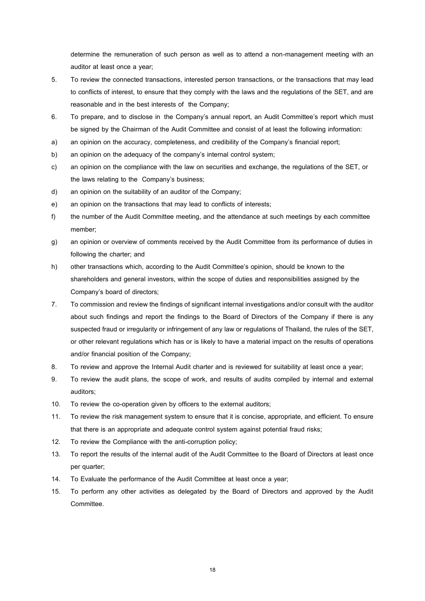determine the remuneration of such person as well as to attend a non-management meeting with an auditor at least once a year;

- 5. To review the connected transactions, interested person transactions, or the transactions that may lead to conflicts of interest, to ensure that they comply with the laws and the regulations of the SET, and are reasonable and in the best interests of the Company;
- 6. To prepare, and to disclose in the Company's annual report, an Audit Committee's report which must be signed by the Chairman of the Audit Committee and consist of at least the following information:
- a) an opinion on the accuracy, completeness, and credibility of the Company's financial report;
- b) an opinion on the adequacy of the company's internal control system;
- c) an opinion on the compliance with the law on securities and exchange, the regulations of the SET, or the laws relating to the Company's business;
- d) an opinion on the suitability of an auditor of the Company;
- e) an opinion on the transactions that may lead to conflicts of interests;
- f) the number of the Audit Committee meeting, and the attendance at such meetings by each committee member;
- g) an opinion or overview of comments received by the Audit Committee from its performance of duties in following the charter; and
- h) other transactions which, according to the Audit Committee's opinion, should be known to the shareholders and general investors, within the scope of duties and responsibilities assigned by the Company's board of directors;
- 7. To commission and review the findings of significant internal investigations and/or consult with the auditor about such findings and report the findings to the Board of Directors of the Company if there is any suspected fraud or irregularity or infringement of any law or regulations of Thailand, the rules of the SET, or other relevant regulations which has or is likely to have a material impact on the results of operations and/or financial position of the Company;
- 8. To review and approve the Internal Audit charter and is reviewed for suitability at least once a year;
- 9. To review the audit plans, the scope of work, and results of audits compiled by internal and external auditors;
- 10. To review the co-operation given by officers to the external auditors;
- 11. To review the risk management system to ensure that it is concise, appropriate, and efficient. To ensure that there is an appropriate and adequate control system against potential fraud risks;
- 12. To review the Compliance with the anti-corruption policy;
- 13. To report the results of the internal audit of the Audit Committee to the Board of Directors at least once per quarter;
- 14. To Evaluate the performance of the Audit Committee at least once a year;
- 15. To perform any other activities as delegated by the Board of Directors and approved by the Audit Committee.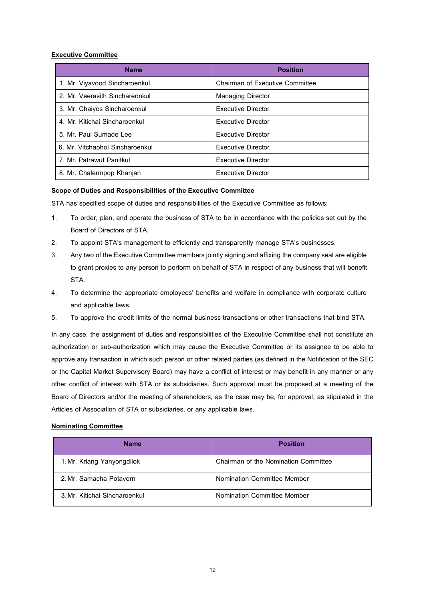# **Executive Committee**

| <b>Name</b>                     | <b>Position</b>                 |
|---------------------------------|---------------------------------|
| 1. Mr. Viyavood Sincharoenkul   | Chairman of Executive Committee |
| 2. Mr. Veerasith Sinchareonkul  | <b>Managing Director</b>        |
| 3. Mr. Chaiyos Sincharoenkul    | Executive Director              |
| 4. Mr. Kitichai Sincharoenkul   | Executive Director              |
| 5. Mr. Paul Sumade Lee          | Executive Director              |
| 6. Mr. Vitchaphol Sincharoenkul | Executive Director              |
| 7. Mr. Patrawut Panitkul        | Executive Director              |
| 8. Mr. Chalermpop Khanjan       | Executive Director              |

# **Scope of Duties and Responsibilities of the Executive Committee**

STA has specified scope of duties and responsibilities of the Executive Committee as follows:

- 1. To order, plan, and operate the business of STA to be in accordance with the policies set out by the Board of Directors of STA.
- 2. To appoint STA's management to efficiently and transparently manage STA's businesses.
- 3. Any two of the Executive Committee members jointly signing and affixing the company seal are eligible to grant proxies to any person to perform on behalf of STA in respect of any business that will benefit STA.
- 4. To determine the appropriate employees' benefits and welfare in compliance with corporate culture and applicable laws.
- 5. To approve the credit limits of the normal business transactions or other transactions that bind STA.

In any case, the assignment of duties and responsibilities of the Executive Committee shall not constitute an authorization or sub-authorization which may cause the Executive Committee or its assignee to be able to approve any transaction in which such person or other related parties (as defined in the Notification of the SEC or the Capital Market Supervisory Board) may have a conflict of interest or may benefit in any manner or any other conflict of interest with STA or its subsidiaries. Such approval must be proposed at a meeting of the Board of Directors and/or the meeting of shareholders, as the case may be, for approval, as stipulated in the Articles of Association of STA or subsidiaries, or any applicable laws.

# **Nominating Committee**

| <b>Name</b>                   | <b>Position</b>                      |
|-------------------------------|--------------------------------------|
| 1. Mr. Kriang Yanyongdilok    | Chairman of the Nomination Committee |
| 2. Mr. Samacha Potavorn       | Nomination Committee Member          |
| 3. Mr. Kitichai Sincharoenkul | Nomination Committee Member          |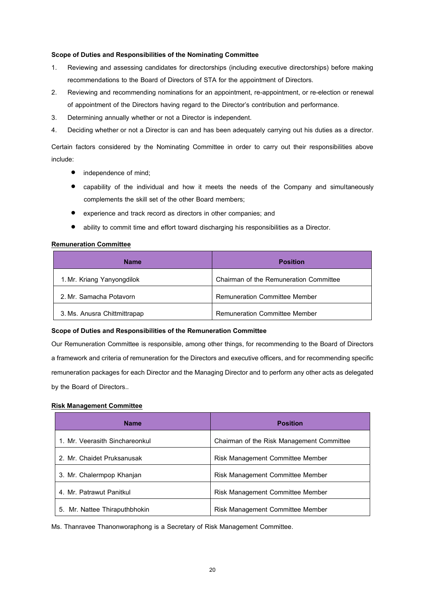# **Scope of Duties and Responsibilities of the Nominating Committee**

- 1. Reviewing and assessing candidates for directorships (including executive directorships) before making recommendations to the Board of Directors of STA for the appointment of Directors.
- 2. Reviewing and recommending nominations for an appointment, re-appointment, or re-election or renewal of appointment of the Directors having regard to the Director's contribution and performance.
- 3. Determining annually whether or not a Director is independent.
- 4. Deciding whether or not a Director is can and has been adequately carrying out his duties as a director.

Certain factors considered by the Nominating Committee in order to carry out their responsibilities above include:

- independence of mind;
- capability of the individual and how it meets the needs of the Company and simultaneously complements the skill set of the other Board members;
- experience and track record as directors in other companies; and
- ability to commit time and effort toward discharging his responsibilities as a Director.

# **Remuneration Committee**

| <b>Name</b>                  | <b>Position</b>                        |
|------------------------------|----------------------------------------|
| 1. Mr. Kriang Yanyongdilok   | Chairman of the Remuneration Committee |
| 2. Mr. Samacha Potavorn      | <b>Remuneration Committee Member</b>   |
| 3. Ms. Anusra Chittmittrapap | <b>Remuneration Committee Member</b>   |

# **Scope of Duties and Responsibilities of the Remuneration Committee**

Our Remuneration Committee is responsible, among other things, for recommending to the Board of Directors a framework and criteria of remuneration for the Directors and executive officers, and for recommending specific remuneration packages for each Director and the Managing Director and to perform any other acts as delegated by the Board of Directors..

# **Risk Management Committee**

| <b>Name</b>                    | <b>Position</b>                           |
|--------------------------------|-------------------------------------------|
| 1. Mr. Veerasith Sinchareonkul | Chairman of the Risk Management Committee |
| 2. Mr. Chaidet Pruksanusak     | Risk Management Committee Member          |
| 3. Mr. Chalermpop Khanjan      | Risk Management Committee Member          |
| 4. Mr. Patrawut Panitkul       | Risk Management Committee Member          |
| 5. Mr. Nattee Thiraputhbhokin  | Risk Management Committee Member          |

Ms. Thanravee Thanonworaphong is a Secretary of Risk Management Committee.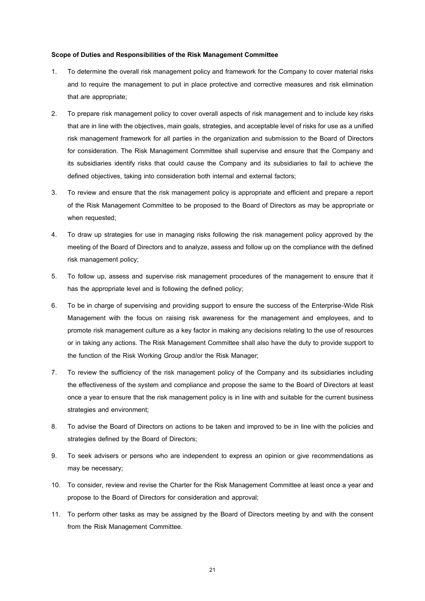#### **Scope of Duties and Responsibilities of the Risk Management Committee**

- 1. To determine the overall risk management policy and framework for the Company to cover material risks and to require the management to put in place protective and corrective measures and risk elimination that are appropriate;
- 2. To prepare risk management policy to cover overall aspects of risk management and to include key risks that are in line with the objectives, main goals, strategies, and acceptable level of risks for use as a unified risk management framework for all parties in the organization and submission to the Board of Directors for consideration. The Risk Management Committee shall supervise and ensure that the Company and its subsidiaries identify risks that could cause the Company and its subsidiaries to fail to achieve the defined objectives, taking into consideration both internal and external factors;
- 3. To review and ensure that the risk management policy is appropriate and efficient and prepare a report of the Risk Management Committee to be proposed to the Board of Directors as may be appropriate or when requested:
- 4. To draw up strategies for use in managing risks following the risk management policy approved by the meeting of the Board of Directors and to analyze, assess and follow up on the compliance with the defined risk management policy;
- 5. To follow up, assess and supervise risk management procedures of the management to ensure that it has the appropriate level and is following the defined policy;
- 6. To be in charge of supervising and providing support to ensure the success of the Enterprise-Wide Risk Management with the focus on raising risk awareness for the management and employees, and to promote risk management culture as a key factor in making any decisions relating to the use of resources or in taking any actions. The Risk Management Committee shall also have the duty to provide support to the function of the Risk Working Group and/or the Risk Manager;
- 7. To review the sufficiency of the risk management policy of the Company and its subsidiaries including the effectiveness of the system and compliance and propose the same to the Board of Directors at least once a year to ensure that the risk management policy is in line with and suitable for the current business strategies and environment;
- 8. To advise the Board of Directors on actions to be taken and improved to be in line with the policies and strategies defined by the Board of Directors;
- 9. To seek advisers or persons who are independent to express an opinion or give recommendations as may be necessary;
- 10. To consider, review and revise the Charter for the Risk Management Committee at least once a year and propose to the Board of Directors for consideration and approval;
- 11. To perform other tasks as may be assigned by the Board of Directors meeting by and with the consent from the Risk Management Committee.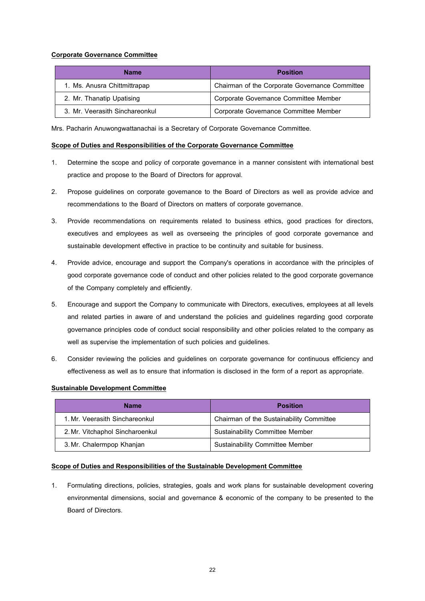# **Corporate Governance Committee**

| <b>Name</b>                    | Position                                       |
|--------------------------------|------------------------------------------------|
| 1. Ms. Anusra Chittmittrapap   | Chairman of the Corporate Governance Committee |
| 2. Mr. Thanatip Upatising      | Corporate Governance Committee Member          |
| 3. Mr. Veerasith Sinchareonkul | Corporate Governance Committee Member          |

Mrs. Pacharin Anuwongwattanachai is a Secretary of Corporate Governance Committee.

# **Scope of Duties and Responsibilities of the Corporate Governance Committee**

- 1. Determine the scope and policy of corporate governance in a manner consistent with international best practice and propose to the Board of Directors for approval.
- 2. Propose guidelines on corporate governance to the Board of Directors as well as provide advice and recommendations to the Board of Directors on matters of corporate governance.
- 3. Provide recommendations on requirements related to business ethics, good practices for directors, executives and employees as well as overseeing the principles of good corporate governance and sustainable development effective in practice to be continuity and suitable for business.
- 4. Provide advice, encourage and support the Company's operations in accordance with the principles of good corporate governance code of conduct and other policies related to the good corporate governance of the Company completely and efficiently.
- 5. Encourage and support the Company to communicate with Directors, executives, employees at all levels and related parties in aware of and understand the policies and guidelines regarding good corporate governance principles code of conduct social responsibility and other policies related to the company as well as supervise the implementation of such policies and guidelines.
- 6. Consider reviewing the policies and guidelines on corporate governance for continuous efficiency and effectiveness as well as to ensure that information is disclosed in the form of a report as appropriate.

# **Sustainable Development Committee**

| <b>Name</b>                     | <b>Position</b>                          |
|---------------------------------|------------------------------------------|
| 1. Mr. Veerasith Sinchareonkul  | Chairman of the Sustainability Committee |
| 2. Mr. Vitchaphol Sincharoenkul | Sustainability Committee Member          |
| 3. Mr. Chalermpop Khanjan       | <b>Sustainability Committee Member</b>   |

# **Scope of Duties and Responsibilities of the Sustainable Development Committee**

1. Formulating directions, policies, strategies, goals and work plans for sustainable development covering environmental dimensions, social and governance & economic of the company to be presented to the Board of Directors.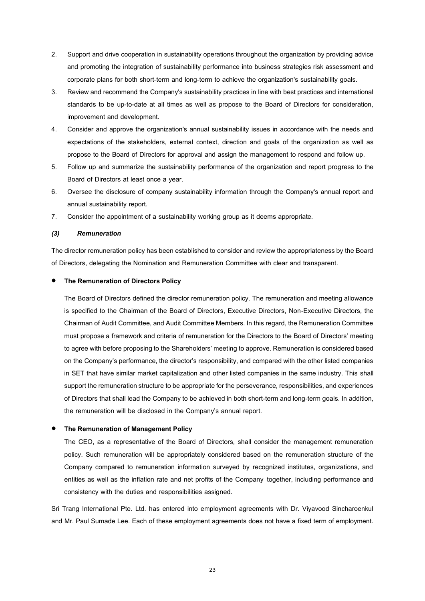- 2. Support and drive cooperation in sustainability operations throughout the organization by providing advice and promoting the integration of sustainability performance into business strategies risk assessment and corporate plans for both short-term and long-term to achieve the organization's sustainability goals.
- 3. Review and recommend the Company's sustainability practices in line with best practices and international standards to be up-to-date at all times as well as propose to the Board of Directors for consideration, improvement and development.
- 4. Consider and approve the organization's annual sustainability issues in accordance with the needs and expectations of the stakeholders, external context, direction and goals of the organization as well as propose to the Board of Directors for approval and assign the management to respond and follow up.
- 5. Follow up and summarize the sustainability performance of the organization and report progress to the Board of Directors at least once a year.
- 6. Oversee the disclosure of company sustainability information through the Company's annual report and annual sustainability report.
- 7. Consider the appointment of a sustainability working group as it deems appropriate.

#### *(3) Remuneration*

The director remuneration policy has been established to consider and review the appropriateness by the Board of Directors, delegating the Nomination and Remuneration Committee with clear and transparent.

# • **The Remuneration of Directors Policy**

The Board of Directors defined the director remuneration policy. The remuneration and meeting allowance is specified to the Chairman of the Board of Directors, Executive Directors, Non-Executive Directors, the Chairmanof Audit Committee, and Audit Committee Members. In this regard, the Remuneration Committee must propose a framework and criteria of remuneration for the Directors to the Board of Directors' meeting to agree with before proposing to the Shareholders' meeting to approve. Remuneration is considered based on the Company's performance, the director's responsibility, and compared with the other listed companies in SET that have similar market capitalization and other listed companies in the same industry. This shall support the remuneration structure to be appropriate for the perseverance, responsibilities, and experiences of Directors that shall lead the Company to be achieved in both short-term and long-term goals. In addition, the remuneration will be disclosed in the Company's annual report.

### • **The Remuneration of Management Policy**

The CEO, as a representative of the Board of Directors, shall consider the management remuneration policy. Such remuneration will be appropriately considered based on the remuneration structure of the Company compared to remuneration information surveyed by recognized institutes, organizations, and entities as well as the inflation rate and net profits of the Company together, including performance and consistency with the duties and responsibilities assigned.

Sri Trang International Pte. Ltd. has entered into employment agreements with Dr. Viyavood Sincharoenkul and Mr. Paul Sumade Lee. Each of these employment agreements does not have a fixed term of employment.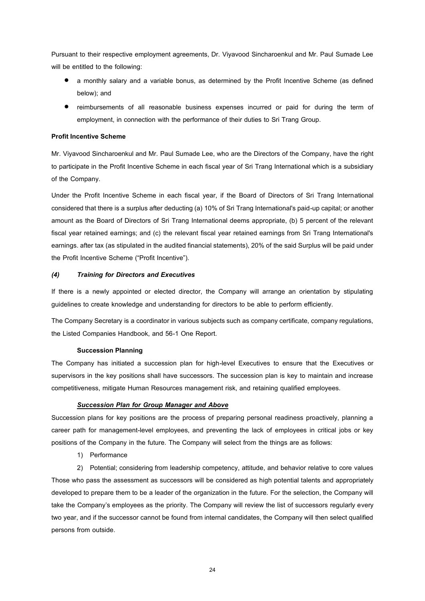Pursuant to their respective employment agreements, Dr. Viyavood Sincharoenkul and Mr. Paul Sumade Lee will be entitled to the following:

- a monthly salary and a variable bonus, as determined by the Profit Incentive Scheme (as defined below); and
- reimbursements of all reasonable business expenses incurred or paid for during the term of employment, in connection with the performance of their duties to Sri Trang Group.

# **Profit Incentive Scheme**

Mr. Viyavood Sincharoenkul and Mr. Paul Sumade Lee, who are the Directors of the Company, have the right to participate in the Profit Incentive Scheme in each fiscal year of Sri Trang International which is a subsidiary of the Company.

Under the Profit Incentive Scheme in each fiscal year, if the Board of Directors of Sri Trang International considered that there is a surplus after deducting (a) 10% of Sri Trang International's paid-up capital; or another amount as the Board of Directors of Sri Trang International deems appropriate, (b) 5 percent of the relevant fiscal year retained earnings; and (c) the relevant fiscal year retained earnings from Sri Trang International's earnings. after tax (as stipulated in the audited financial statements), 20% of the said Surplus will be paid under the Profit Incentive Scheme ("Profit Incentive").

# *(4) Training for Directors and Executives*

If there is a newly appointed or elected director, the Company will arrange an orientation by stipulating guidelines to create knowledge and understanding for directors to be able to perform efficiently.

The Company Secretary is a coordinator in various subjects such as company certificate, company regulations, the Listed Companies Handbook, and 56-1 One Report.

# **Succession Planning**

The Company has initiated a succession plan for high-level Executives to ensure that the Executives or supervisors in the key positions shall have successors. The succession plan is key to maintain and increase competitiveness, mitigate Human Resources management risk, and retaining qualified employees.

# *Succession Plan for Group Manager and Above*

Succession plans for key positions are the process of preparing personal readiness proactively, planning a career path for management-level employees, and preventing the lack of employees in critical jobs or key positions of the Company in the future. The Company will select from the things are as follows:

1) Performance

2) Potential; considering from leadership competency, attitude, and behavior relative to core values Those who pass the assessment as successors will be considered as high potential talents and appropriately developed to prepare them to be a leader of the organization in the future. For the selection, the Company will take the Company's employees as the priority. The Company will review the list of successors regularly every two year, and if the successor cannot be found from internal candidates, the Company will then select qualified persons from outside.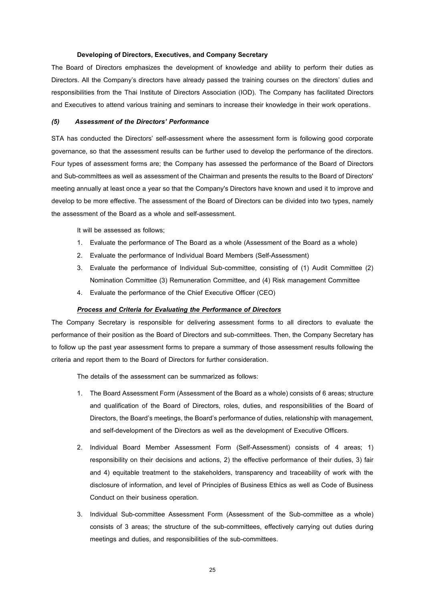### **Developing of Directors, Executives, and Company Secretary**

The Board of Directors emphasizes the development of knowledge and ability to perform their duties as Directors. All the Company's directors have already passed the training courses on the directors' duties and responsibilities from the Thai Institute of Directors Association (IOD). The Company has facilitated Directors and Executives to attend various training and seminars to increase their knowledge in their work operations.

#### *(5) Assessment of the Directors' Performance*

STA has conducted the Directors' self-assessment where the assessment form is following good corporate governance, so that the assessment results can be further used to develop the performance of the directors. Four types of assessment forms are; the Company has assessed the performance of the Board of Directors and Sub-committees as well as assessment of the Chairman and presents the results to the Board of Directors' meeting annually at least once a year so that the Company's Directors have known and used it to improve and develop to be more effective. The assessment of the Board of Directors can be divided into two types, namely the assessment of the Board as a whole and self-assessment.

It will be assessed as follows;

- 1. Evaluate the performance of The Board as a whole (Assessment of the Board as a whole)
- 2. Evaluate the performance of Individual Board Members (Self-Assessment)
- 3. Evaluate the performance of Individual Sub-committee, consisting of (1) Audit Committee (2) Nomination Committee (3) Remuneration Committee, and (4) Risk management Committee
- 4. Evaluate the performance of the Chief Executive Officer (CEO)

#### *Process and Criteria for Evaluating the Performance of Directors*

The Company Secretary is responsible for delivering assessment forms to all directors to evaluate the performance of their position as the Board of Directors and sub-committees. Then, the Company Secretary has to follow up the past year assessment forms to prepare a summary of those assessment results following the criteria and report them to the Board of Directors for further consideration.

The details of the assessment can be summarized as follows:

- 1. The Board Assessment Form (Assessment of the Board as a whole) consists of 6 areas; structure and qualification of the Board of Directors, roles, duties, and responsibilities of the Board of Directors, the Board's meetings, the Board's performance of duties, relationship with management, and self-development of the Directors as well as the development of Executive Officers.
- 2. Individual Board Member Assessment Form (Self-Assessment) consists of 4 areas; 1) responsibility on their decisions and actions, 2) the effective performance of their duties, 3) fair and 4) equitable treatment to the stakeholders, transparency and traceability of work with the disclosure of information, and level of Principles of Business Ethics as well as Code of Business Conduct on their business operation.
- 3. Individual Sub-committee Assessment Form (Assessment of the Sub-committee as a whole) consists of 3 areas; the structure of the sub-committees, effectively carrying out duties during meetings and duties, and responsibilities of the sub-committees.